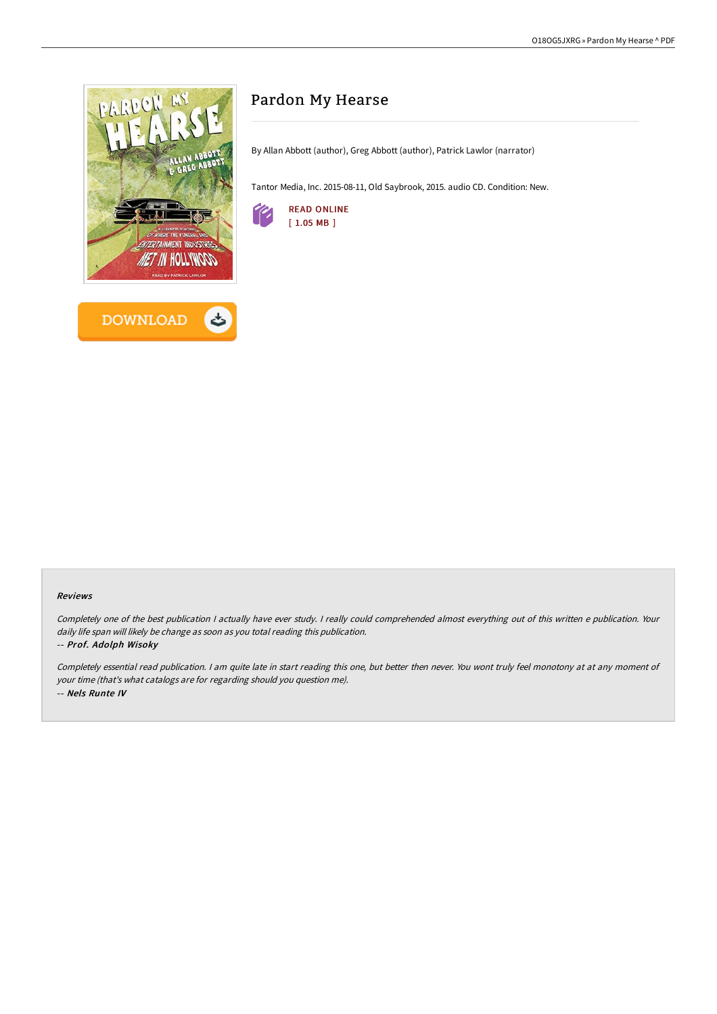

# Pardon My Hearse

By Allan Abbott (author), Greg Abbott (author), Patrick Lawlor (narrator)

Tantor Media, Inc. 2015-08-11, Old Saybrook, 2015. audio CD. Condition: New.



#### Reviews

Completely one of the best publication <sup>I</sup> actually have ever study. <sup>I</sup> really could comprehended almost everything out of this written <sup>e</sup> publication. Your daily life span will likely be change as soon as you total reading this publication.

#### -- Prof. Adolph Wisoky

Completely essential read publication. <sup>I</sup> am quite late in start reading this one, but better then never. You wont truly feel monotony at at any moment of your time (that's what catalogs are for regarding should you question me). -- Nels Runte IV